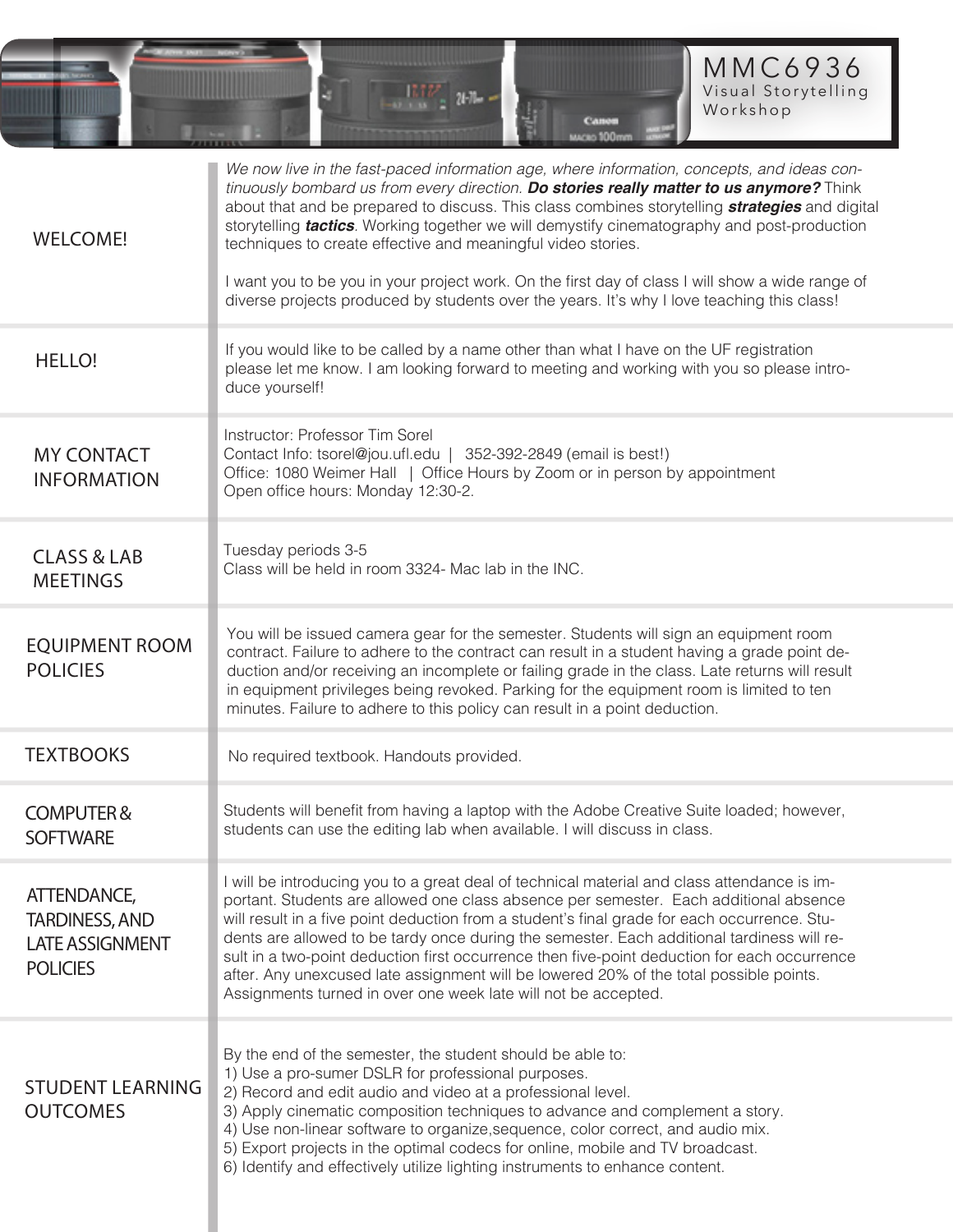

| <b>WELCOME!</b>                                                                   | We now live in the fast-paced information age, where information, concepts, and ideas con-<br>tinuously bombard us from every direction. Do stories really matter to us anymore? Think<br>about that and be prepared to discuss. This class combines storytelling <i>strategies</i> and digital<br>storytelling <b>tactics</b> . Working together we will demystify cinematography and post-production<br>techniques to create effective and meaningful video stories.<br>I want you to be you in your project work. On the first day of class I will show a wide range of<br>diverse projects produced by students over the years. It's why I love teaching this class! |  |
|-----------------------------------------------------------------------------------|--------------------------------------------------------------------------------------------------------------------------------------------------------------------------------------------------------------------------------------------------------------------------------------------------------------------------------------------------------------------------------------------------------------------------------------------------------------------------------------------------------------------------------------------------------------------------------------------------------------------------------------------------------------------------|--|
| <b>HELLO!</b>                                                                     | If you would like to be called by a name other than what I have on the UF registration<br>please let me know. I am looking forward to meeting and working with you so please intro-<br>duce yourself!                                                                                                                                                                                                                                                                                                                                                                                                                                                                    |  |
| <b>MY CONTACT</b><br><b>INFORMATION</b>                                           | Instructor: Professor Tim Sorel<br>Contact Info: tsorel@jou.ufl.edu   352-392-2849 (email is best!)<br>Office: 1080 Weimer Hall   Office Hours by Zoom or in person by appointment<br>Open office hours: Monday 12:30-2.                                                                                                                                                                                                                                                                                                                                                                                                                                                 |  |
| <b>CLASS &amp; LAB</b><br><b>MEETINGS</b>                                         | Tuesday periods 3-5<br>Class will be held in room 3324- Mac lab in the INC.                                                                                                                                                                                                                                                                                                                                                                                                                                                                                                                                                                                              |  |
| <b>EQUIPMENT ROOM</b><br><b>POLICIES</b>                                          | You will be issued camera gear for the semester. Students will sign an equipment room<br>contract. Failure to adhere to the contract can result in a student having a grade point de-<br>duction and/or receiving an incomplete or failing grade in the class. Late returns will result<br>in equipment privileges being revoked. Parking for the equipment room is limited to ten<br>minutes. Failure to adhere to this policy can result in a point deduction.                                                                                                                                                                                                         |  |
| <b>TEXTBOOKS</b>                                                                  | No required textbook. Handouts provided.                                                                                                                                                                                                                                                                                                                                                                                                                                                                                                                                                                                                                                 |  |
| <b>COMPUTER&amp;</b><br><b>SOFTWARE</b>                                           | Students will benefit from having a laptop with the Adobe Creative Suite loaded; however,<br>students can use the editing lab when available. I will discuss in class.                                                                                                                                                                                                                                                                                                                                                                                                                                                                                                   |  |
| ATTENDANCE,<br><b>TARDINESS, AND</b><br><b>LATE ASSIGNMENT</b><br><b>POLICIES</b> | I will be introducing you to a great deal of technical material and class attendance is im-<br>portant. Students are allowed one class absence per semester. Each additional absence<br>will result in a five point deduction from a student's final grade for each occurrence. Stu-<br>dents are allowed to be tardy once during the semester. Each additional tardiness will re-<br>sult in a two-point deduction first occurrence then five-point deduction for each occurrence<br>after. Any unexcused late assignment will be lowered 20% of the total possible points.<br>Assignments turned in over one week late will not be accepted.                           |  |
| <b>STUDENT LEARNING</b><br><b>OUTCOMES</b>                                        | By the end of the semester, the student should be able to:<br>1) Use a pro-sumer DSLR for professional purposes.<br>2) Record and edit audio and video at a professional level.<br>3) Apply cinematic composition techniques to advance and complement a story.<br>4) Use non-linear software to organize, sequence, color correct, and audio mix.<br>5) Export projects in the optimal codecs for online, mobile and TV broadcast.<br>6) Identify and effectively utilize lighting instruments to enhance content.                                                                                                                                                      |  |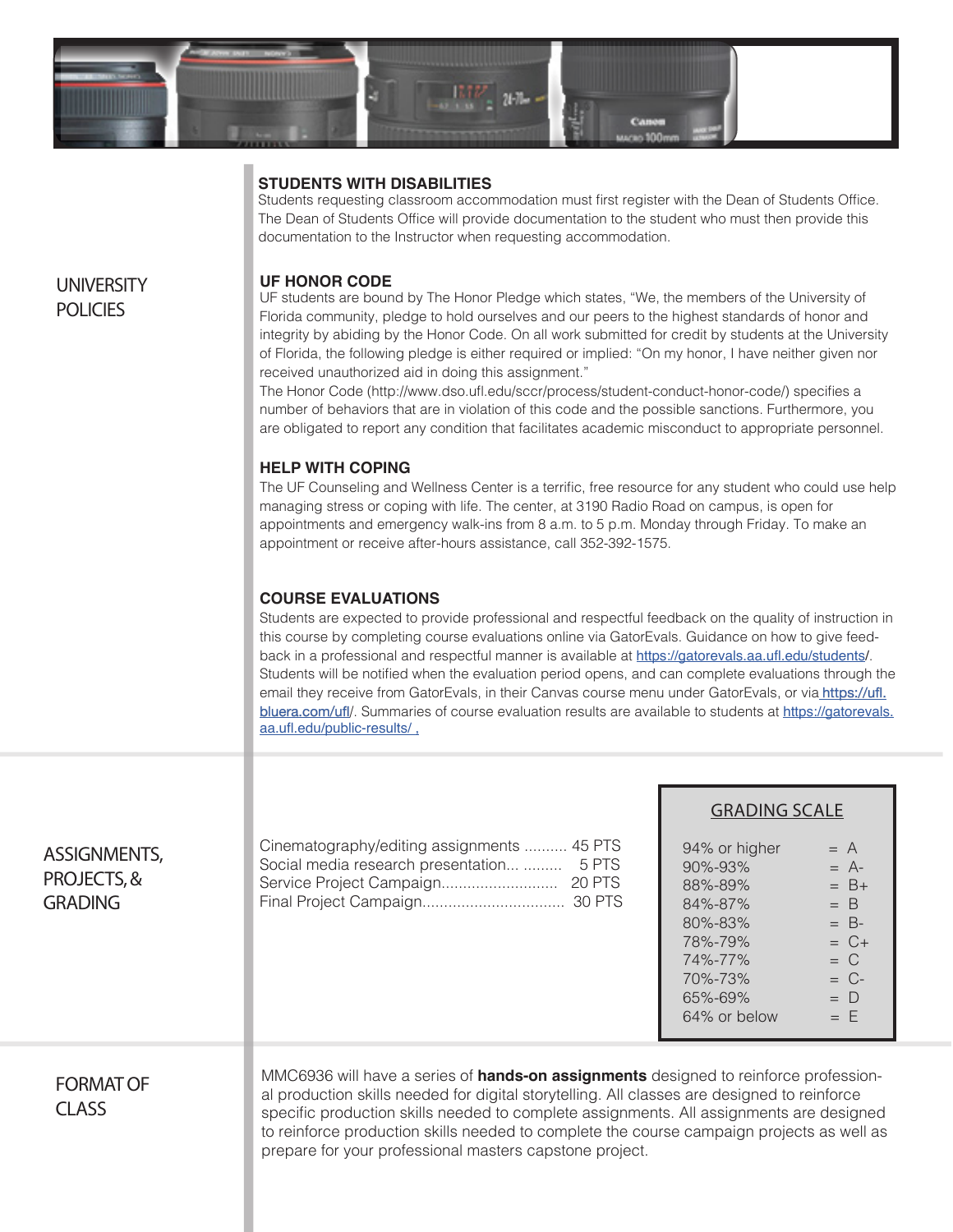

### **STUDENTS WITH DISABILITIES**

Students requesting classroom accommodation must first register with the Dean of Students Office. The Dean of Students Office will provide documentation to the student who must then provide this documentation to the Instructor when requesting accommodation.

#### **UF HONOR CODE**

UF students are bound by The Honor Pledge which states, "We, the members of the University of Florida community, pledge to hold ourselves and our peers to the highest standards of honor and integrity by abiding by the Honor Code. On all work submitted for credit by students at the University of Florida, the following pledge is either required or implied: "On my honor, I have neither given nor received unauthorized aid in doing this assignment."

The Honor Code (http://www.dso.ufl.edu/sccr/process/student-conduct-honor-code/) specifies a number of behaviors that are in violation of this code and the possible sanctions. Furthermore, you are obligated to report any condition that facilitates academic misconduct to appropriate personnel.

#### **HELP WITH COPING**

The UF Counseling and Wellness Center is a terrific, free resource for any student who could use help managing stress or coping with life. The center, at 3190 Radio Road on campus, is open for appointments and emergency walk-ins from 8 a.m. to 5 p.m. Monday through Friday. To make an appointment or receive after-hours assistance, call 352-392-1575.

### **COURSE EVALUATIONS**

Students are expected to provide professional and respectful feedback on the quality of instruction in this course by completing course evaluations online via GatorEvals. Guidance on how to give feedback in a professional and respectful manner is available at https://gatorevals.aa.ufl.edu/students/. Students will be notified when the evaluation period opens, and can complete evaluations through the email they receive from GatorEvals, in their Canvas course menu under GatorEvals, or via **https://ufl.** bluera.com/ufl/. Summaries of course evaluation results are available to students at https://gatorevals. aa.ufl.edu/public-results/ ,

|                                               |                                                                                                                                                                                                                                                                                                                                                                                                                                               | <b>GRADING SCALE</b>                                                                                       |                                                                                                    |
|-----------------------------------------------|-----------------------------------------------------------------------------------------------------------------------------------------------------------------------------------------------------------------------------------------------------------------------------------------------------------------------------------------------------------------------------------------------------------------------------------------------|------------------------------------------------------------------------------------------------------------|----------------------------------------------------------------------------------------------------|
| ASSIGNMENTS,<br>PROJECTS, &<br><b>GRADING</b> | Cinematography/editing assignments  45 PTS<br>Social media research presentation  5 PTS                                                                                                                                                                                                                                                                                                                                                       | 94% or higher<br>90%-93%<br>88%-89%<br>84%-87%<br>80%-83%<br>78%-79%<br>74%-77%<br>70%-73%<br>64% or below | $= A$<br>$= A$ -<br>$= B +$<br>$= B$<br>$= B$ -<br>$= C +$<br>$= C$<br>$= C$ -<br>$= D$<br>$=$ $F$ |
| <b>FORMAT OF</b><br><b>CLASS</b>              | MMC6936 will have a series of <b>hands-on assignments</b> designed to reinforce profession-<br>al production skills needed for digital storytelling. All classes are designed to reinforce<br>specific production skills needed to complete assignments. All assignments are designed<br>to reinforce production skills needed to complete the course campaign projects as well as<br>prepare for your professional masters capstone project. |                                                                                                            |                                                                                                    |

## **UNIVERSITY POLICIES**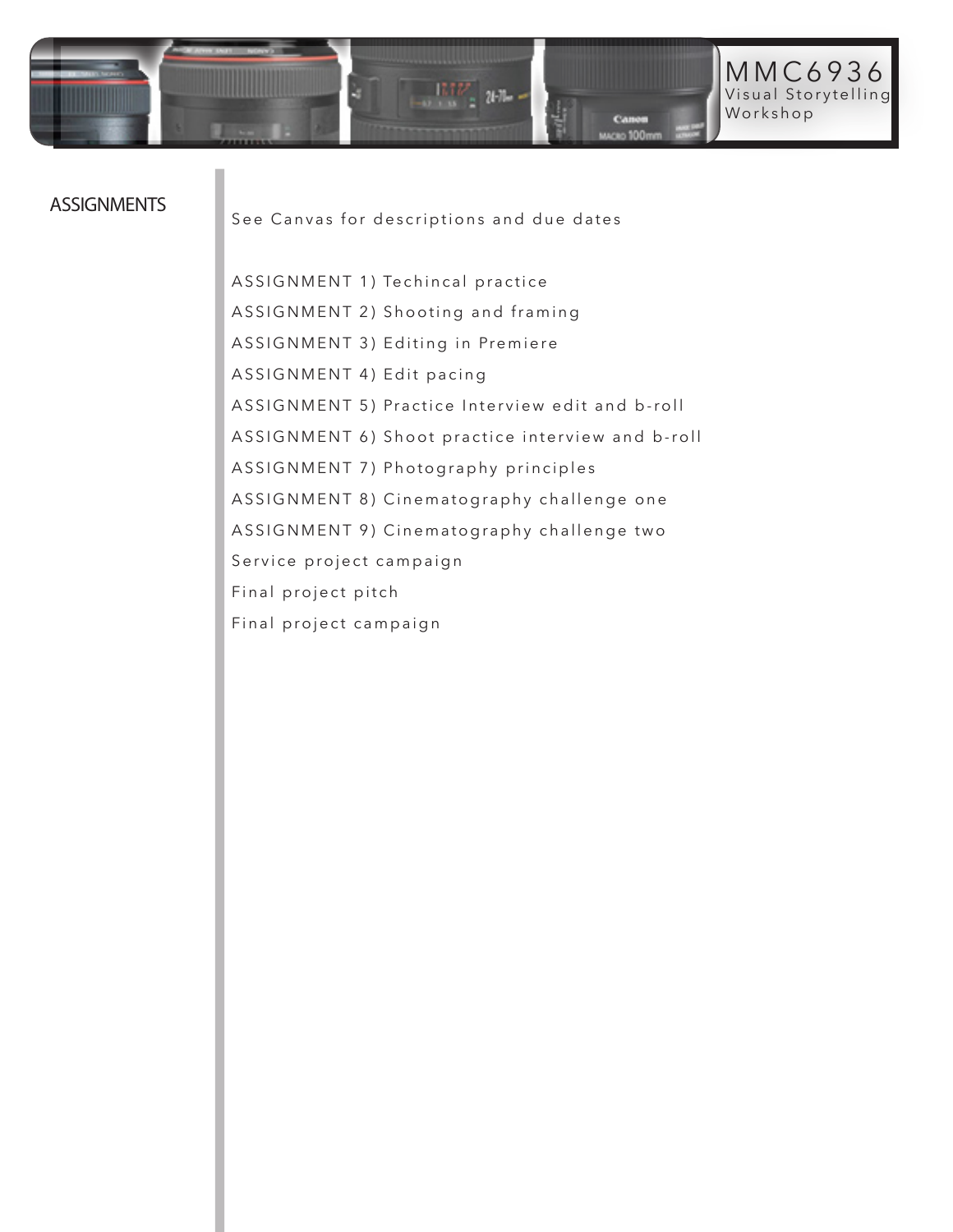

# **ASSIGNMENTS**

See Canvas for descriptions and due dates

ASSIGNMENT 1) Techincal practice ASSIGNMENT 2) Shooting and framing ASSIGNMENT 3) Editing in Premiere ASSIGNMENT 4) Edit pacing ASSIGNMENT 5) Practice Interview edit and b-roll ASSIGNMENT 6) Shoot practice interview and b-roll ASSIGNMENT 7) Photography principles ASSIGNMENT 8) Cinematography challenge one ASSIGNMENT 9) Cinematography challenge two Service project campaign Final project pitch Final project campaign